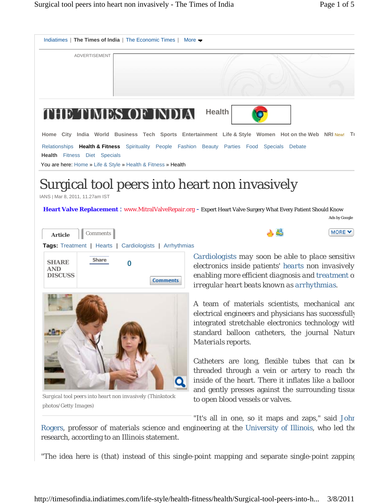

"The idea here is (that) instead of this single-point mapping and separate single-point zapping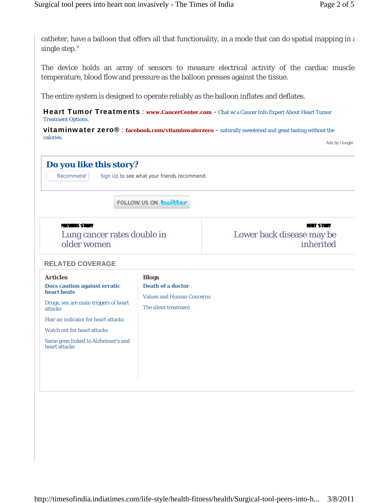catheter, have a balloon that offers all that functionality, in a mode that can do spatial mapping in  $\epsilon$ single step."

The device holds an array of sensors to measure electrical activity of the cardiac muscle temperature, blood flow and pressure as the balloon presses against the tissue.

The entire system is designed to operate reliably as the balloon inflates and deflates.

Heart Tumor Treatments : www.CancerCenter.com - Chat w/a Cancer Info Expert About Heart Tumor Treatment Options.

vitaminwater zero® : **facebook.com/vitaminwaterzero** - naturally sweetened and great tasting without the calories.

Ads by Google

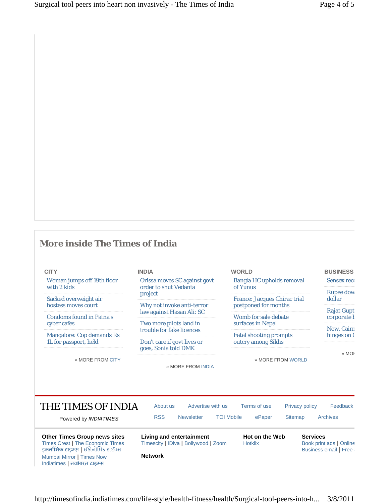## **More inside The Times of India**

| ٠<br>٧<br>×<br>. . |  |
|--------------------|--|
|                    |  |

Woman jumps off 19th floor with 2 kids

Sacked overweight air hostess moves court

Mumbai Mirror **|** Times Now Indiatimes | नवभारत टाइम्स

Condoms found in Patna's cyber cafes

Mangalore: Cop demands Rs 1L for passport, held

» MORE FROM CITY

## **INDIA**

Orissa moves SC against govt order to shut Vedanta project

Why not invoke anti-terror law against Hasan Ali: SC

Two more pilots land in trouble for fake licences

Don't care if govt lives or goes, Sonia told DMK

» MORE FROM INDIA

| <b>WORLD</b>                                                                        | <b>BUSINESS</b>                         |
|-------------------------------------------------------------------------------------|-----------------------------------------|
| <b>Bangla HC upholds removal</b><br>of Yunus                                        | <b>Sensex reco</b>                      |
| <b>France: Jacques Chirac trial</b><br>postponed for months<br>Womb for sale debate | <b>Rupee dow</b><br>dollar              |
|                                                                                     | <b>Rajat Gupt</b><br>corporate <i>t</i> |
| surfaces in Nepal                                                                   | Now, Cairn<br>hinges on (               |
| <b>Fatal shooting prompts</b><br>outcry among Sikhs                                 |                                         |

» MORE FROM WORLD

» MOR

THE TIMES OF INDIA Powered by *INDIATIMES* About us Advertise with us Terms of use Privacy policy Feedback RSS Newsletter TOI Mobile ePaper Sitemap Archives **Other Times Group news sites** Times Crest **|** The Economic Times इकनॉमिक टाइम्स | ઈકોનોમિક ટાઈમ્સ **Living and entertainment** Timescity **|** iDiva **|** Bollywood **|** Zoom **Hot on the Web** Hotklix **Services** Book print ads **|** Online **Business email | Free S** 

**Network**